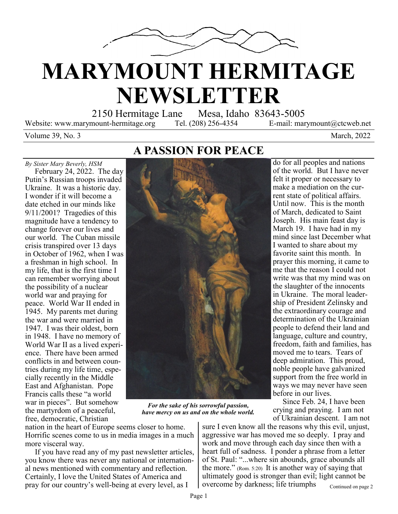

## **MARYMOUNT HERMITAGE NEWSLETTER**

2150 Hermitage Lane Mesa, Idaho 83643-5005

Website: www.marymount-hermitage.org Tel. (208) 256-4354 E-mail: marymount@ctcweb.net

do for all peoples and nations of the world. But I have never felt it proper or necessary to make a mediation on the current state of political affairs. Until now. This is the month of March, dedicated to Saint Joseph. His main feast day is March 19. I have had in my mind since last December what I wanted to share about my favorite saint this month. In prayer this morning, it came to me that the reason I could not write was that my mind was on the slaughter of the innocents in Ukraine. The moral leadership of President Zelinsky and the extraordinary courage and determination of the Ukrainian people to defend their land and language, culture and country, freedom, faith and families, has moved me to tears. Tears of deep admiration. This proud, noble people have galvanized support from the free world in ways we may never have seen

Volume 39, No. 3 March, 2022

**A PASSION FOR PEACE**



*For the sake of his sorrowful passion, have mercy on us and on the whole world.*

nation in the heart of Europe seems closer to home. Horrific scenes come to us in media images in a much more visceral way.

 If you have read any of my past newsletter articles, you know there was never any national or international news mentioned with commentary and reflection. Certainly, I love the United States of America and pray for our country's well-being at every level, as I

Continued on page 2 of Ukrainian descent. I am not sure I even know all the reasons why this evil, unjust, aggressive war has moved me so deeply. I pray and work and move through each day since then with a heart full of sadness. I ponder a phrase from a letter of St. Paul: "...where sin abounds, grace abounds all the more." (Rom. 5:20) It is another way of saying that ultimately good is stronger than evil; light cannot be overcome by darkness; life triumphs

before in our lives.

 Since Feb. 24, I have been crying and praying. I am not